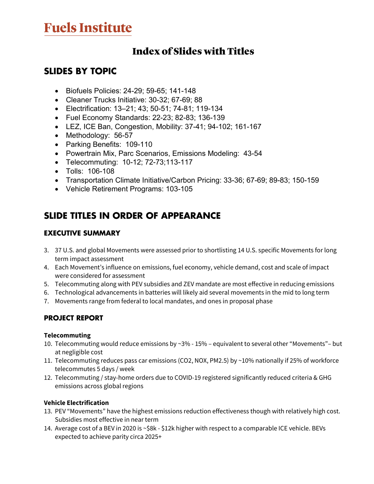# **Fuels Institute**

# Index of Slides with Titles

# **SLIDES BY TOPIC**

- Biofuels Policies: 24-29; 59-65; 141-148
- Cleaner Trucks Initiative: 30-32; 67-69; 88
- Electrification: 13–21; 43; 50-51; 74-81; 119-134
- Fuel Economy Standards: 22-23; 82-83; 136-139
- LEZ, ICE Ban, Congestion, Mobility: 37-41; 94-102; 161-167
- Methodology: 56-57
- Parking Benefits: 109-110
- Powertrain Mix, Parc Scenarios, Emissions Modeling: 43-54
- Telecommuting: 10-12; 72-73;113-117
- Tolls: 106-108
- Transportation Climate Initiative/Carbon Pricing: 33-36; 67-69; 89-83; 150-159
- Vehicle Retirement Programs: 103-105

# **SLIDE TITLES IN ORDER OF APPEARANCE**

### **EXECUTIVE SUMMARY**

- 3. 37 U.S. and global Movements were assessed prior to shortlisting 14 U.S. specific Movements for long term impact assessment
- 4. Each Movement's influence on emissions, fuel economy, vehicle demand, cost and scale of impact were considered for assessment
- 5. Telecommuting along with PEV subsidies and ZEV mandate are most effective in reducing emissions
- 6. Technological advancements in batteries will likely aid several movements in the mid to long term
- 7. Movements range from federal to local mandates, and ones in proposal phase

# **PROJECT REPORT**

#### **Telecommuting**

- 10. Telecommuting would reduce emissions by ~3% 15% equivalent to several other "Movements"– but at negligible cost
- 11. Telecommuting reduces pass car emissions (CO2, NOX, PM2.5) by ~10% nationally if 25% of workforce telecommutes 5 days / week
- 12. Telecommuting / stay-home orders due to COVID-19 registered significantly reduced criteria & GHG emissions across global regions

#### **Vehicle Electrification**

- 13. PEV "Movements" have the highest emissions reduction effectiveness though with relatively high cost. Subsidies most effective in near term
- 14. Average cost of a BEV in 2020 is ~\$8k \$12k higher with respect to a comparable ICE vehicle. BEVs expected to achieve parity circa 2025+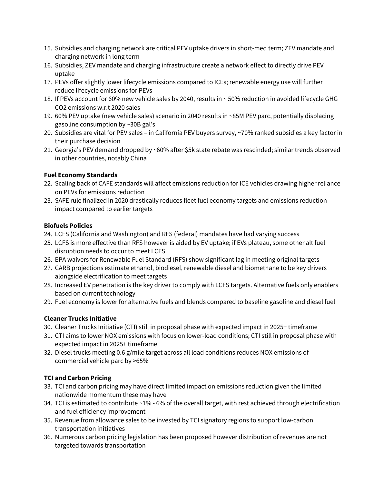- 15. Subsidies and charging network are critical PEV uptake drivers in short-med term; ZEV mandate and charging network in long term
- 16. Subsidies, ZEV mandate and charging infrastructure create a network effect to directly drive PEV uptake
- 17. PEVs offer slightly lower lifecycle emissions compared to ICEs; renewable energy use will further reduce lifecycle emissions for PEVs
- 18. If PEVs account for 60% new vehicle sales by 2040, results in ~ 50% reduction in avoided lifecycle GHG CO2 emissions w.r.t 2020 sales
- 19. 60% PEV uptake (new vehicle sales) scenario in 2040 results in ~85M PEV parc, potentially displacing gasoline consumption by ~30B gal's
- 20. Subsidies are vital for PEV sales in California PEV buyers survey, ~70% ranked subsidies a key factor in their purchase decision
- 21. Georgia's PEV demand dropped by ~60% after \$5k state rebate was rescinded; similar trends observed in other countries, notably China

#### **Fuel Economy Standards**

- 22. Scaling back of CAFE standards will affect emissions reduction for ICE vehicles drawing higher reliance on PEVs for emissions reduction
- 23. SAFE rule finalized in 2020 drastically reduces fleet fuel economy targets and emissions reduction impact compared to earlier targets

#### **Biofuels Policies**

- 24. LCFS (California and Washington) and RFS (federal) mandates have had varying success
- 25. LCFS is more effective than RFS however is aided by EV uptake; if EVs plateau, some other alt fuel disruption needs to occur to meet LCFS
- 26. EPA waivers for Renewable Fuel Standard (RFS) show significant lag in meeting original targets
- 27. CARB projections estimate ethanol, biodiesel, renewable diesel and biomethane to be key drivers alongside electrification to meet targets
- 28. Increased EV penetration is the key driver to comply with LCFS targets. Alternative fuels only enablers based on current technology
- 29. Fuel economy is lower for alternative fuels and blends compared to baseline gasoline and diesel fuel

#### **Cleaner Trucks Initiative**

- 30. Cleaner Trucks Initiative (CTI) still in proposal phase with expected impact in 2025+ timeframe
- 31. CTI aims to lower NOX emissions with focus on lower-load conditions; CTI still in proposal phase with expected impact in 2025+ timeframe
- 32. Diesel trucks meeting 0.6 g/mile target across all load conditions reduces NOX emissions of commercial vehicle parc by >65%

#### **TCI and Carbon Pricing**

- 33. TCI and carbon pricing may have direct limited impact on emissions reduction given the limited nationwide momentum these may have
- 34. TCI is estimated to contribute ~1% 6% of the overall target, with rest achieved through electrification and fuel efficiency improvement
- 35. Revenue from allowance sales to be invested by TCI signatory regions to support low-carbon transportation initiatives
- 36. Numerous carbon pricing legislation has been proposed however distribution of revenues are not targeted towards transportation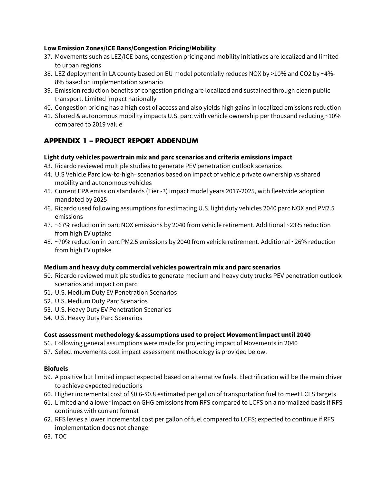#### **Low Emission Zones/ICE Bans/Congestion Pricing/Mobility**

- 37. Movements such as LEZ/ICE bans, congestion pricing and mobility initiatives are localized and limited to urban regions
- 38. LEZ deployment in LA county based on EU model potentially reduces NOX by >10% and CO2 by ~4%- 8% based on implementation scenario
- 39. Emission reduction benefits of congestion pricing are localized and sustained through clean public transport. Limited impact nationally
- 40. Congestion pricing has a high cost of access and also yields high gains in localized emissions reduction
- 41. Shared & autonomous mobility impacts U.S. parc with vehicle ownership per thousand reducing ~10% compared to 2019 value

# **APPENDIX 1 – PROJECT REPORT ADDENDUM**

#### **Light duty vehicles powertrain mix and parc scenarios and criteria emissions impact**

- 43. Ricardo reviewed multiple studies to generate PEV penetration outlook scenarios
- 44. U.S Vehicle Parc low-to-high- scenarios based on impact of vehicle private ownership vs shared mobility and autonomous vehicles
- 45. Current EPA emission standards (Tier -3) impact model years 2017-2025, with fleetwide adoption mandated by 2025
- 46. Ricardo used following assumptions for estimating U.S. light duty vehicles 2040 parc NOX and PM2.5 emissions
- 47. ~67% reduction in parc NOX emissions by 2040 from vehicle retirement. Additional ~23% reduction from high EV uptake
- 48. ~70% reduction in parc PM2.5 emissions by 2040 from vehicle retirement. Additional ~26% reduction from high EV uptake

#### **Medium and heavy duty commercial vehicles powertrain mix and parc scenarios**

- 50. Ricardo reviewed multiple studies to generate medium and heavy duty trucks PEV penetration outlook scenarios and impact on parc
- 51. U.S. Medium Duty EV Penetration Scenarios
- 52. U.S. Medium Duty Parc Scenarios
- 53. U.S. Heavy Duty EV Penetration Scenarios
- 54. U.S. Heavy Duty Parc Scenarios

#### **Cost assessment methodology & assumptions used to project Movement impact until 2040**

- 56. Following general assumptions were made for projecting impact of Movements in 2040
- 57. Select movements cost impact assessment methodology is provided below.

#### **Biofuels**

- 59. A positive but limited impact expected based on alternative fuels. Electrification will be the main driver to achieve expected reductions
- 60. Higher incremental cost of \$0.6-\$0.8 estimated per gallon of transportation fuel to meet LCFS targets
- 61. Limited and a lower impact on GHG emissions from RFS compared to LCFS on a normalized basis if RFS continues with current format
- 62. RFS levies a lower incremental cost per gallon of fuel compared to LCFS; expected to continue if RFS implementation does not change
- 63. TOC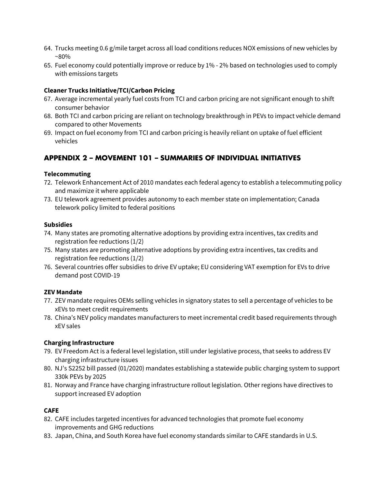- 64. Trucks meeting 0.6 g/mile target across all load conditions reduces NOX emissions of new vehicles by  $~80\%$
- 65. Fuel economy could potentially improve or reduce by 1% 2% based on technologies used to comply with emissions targets

#### **Cleaner Trucks Initiative/TCI/Carbon Pricing**

- 67. Average incremental yearly fuel costs from TCI and carbon pricing are not significant enough to shift consumer behavior
- 68. Both TCI and carbon pricing are reliant on technology breakthrough in PEVs to impact vehicle demand compared to other Movements
- 69. Impact on fuel economy from TCI and carbon pricing is heavily reliant on uptake of fuel efficient vehicles

### **APPENDIX 2 – MOVEMENT 101 – SUMMARIES OF INDIVIDUAL INITIATIVES**

#### **Telecommuting**

- 72. Telework Enhancement Act of 2010 mandates each federal agency to establish a telecommuting policy and maximize it where applicable
- 73. EU telework agreement provides autonomy to each member state on implementation; Canada telework policy limited to federal positions

#### **Subsidies**

- 74. Many states are promoting alternative adoptions by providing extra incentives, tax credits and registration fee reductions (1/2)
- 75. Many states are promoting alternative adoptions by providing extra incentives, tax credits and registration fee reductions (1/2)
- 76. Several countries offer subsidies to drive EV uptake; EU considering VAT exemption for EVs to drive demand post COVID-19

#### **ZEV Mandate**

- 77. ZEV mandate requires OEMs selling vehicles in signatory states to sell a percentage of vehicles to be xEVs to meet credit requirements
- 78. China's NEV policy mandates manufacturers to meet incremental credit based requirements through xEV sales

#### **Charging Infrastructure**

- 79. EV Freedom Act is a federal level legislation, still under legislative process, that seeks to address EV charging infrastructure issues
- 80. NJ's S2252 bill passed (01/2020) mandates establishing a statewide public charging system to support 330k PEVs by 2025
- 81. Norway and France have charging infrastructure rollout legislation. Other regions have directives to support increased EV adoption

#### **CAFE**

- 82. CAFE includes targeted incentives for advanced technologies that promote fuel economy improvements and GHG reductions
- 83. Japan, China, and South Korea have fuel economy standards similar to CAFE standards in U.S.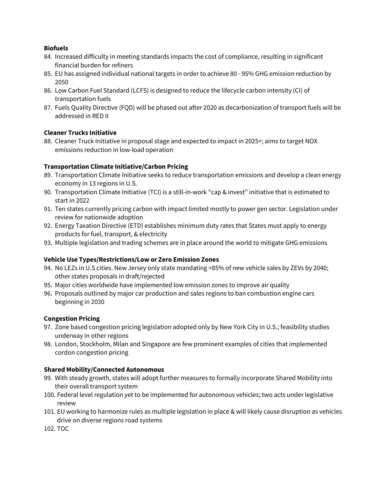#### **Biofuels**

- 84. Increased difficulty in meeting standards impacts the cost of compliance, resulting in significant financial burden for refiners
- 85. EU has assigned individual national targets in order to achieve 80 95% GHG emission reduction by 2050
- 86. Low Carbon Fuel Standard (LCFS) is designed to reduce the lifecycle carbon intensity (CI) of transportation fuels
- 87. Fuels Quality Directive (FQD) will be phased out after 2020 as decarbonization of transport fuels will be addressed in RED II

#### **Cleaner Trucks Initiative**

88. Cleaner Truck Initiative in proposal stage and expected to impact in 2025+; aims to target NOX emissions reduction in low-load operation

#### **Transportation Climate Initiative/Carbon Pricing**

- 89. Transportation Climate Initiative seeks to reduce transportation emissions and develop a clean energy economy in 13 regions in U.S.
- 90. Transportation Climate Initiative (TCI) is a still-in-work "cap & invest" initiative that is estimated to start in 2022
- 91. Ten states currently pricing carbon with impact limited mostly to power gen sector. Legislation under review for nationwide adoption
- 92. Energy Taxation Directive (ETD) establishes minimum duty rates that States must apply to energy products for fuel, transport, & electricity
- 93. Multiple legislation and trading schemes are in place around the world to mitigate GHG emissions

#### **Vehicle Use Types/Restrictions/Low or Zero Emission Zones**

- 94. No LEZs in U.S cities. New Jersey only state mandating >85% of new vehicle sales by ZEVs by 2040; other states proposals in draft/rejected
- 95. Major cities worldwide have implemented low emission zones to improve air quality
- 96. Proposals outlined by major car production and sales regions to ban combustion engine cars beginning in 2030

#### **Congestion Pricing**

- 97. Zone based congestion pricing legislation adopted only by New York City in U.S.; feasibility studies underway in other regions
- 98. London, Stockholm, Milan and Singapore are few prominent examples of cities that implemented cordon congestion pricing

#### **Shared Mobility/Connected Autonomous**

- 99. With steady growth, states will adopt further measures to formally incorporate Shared Mobility into their overall transport system
- 100. Federal level regulation yet to be implemented for autonomous vehicles; two acts under legislative review
- 101. EU working to harmonize rules as multiple legislation in place & will likely cause disruption as vehicles drive on diverse regions road systems

102. TOC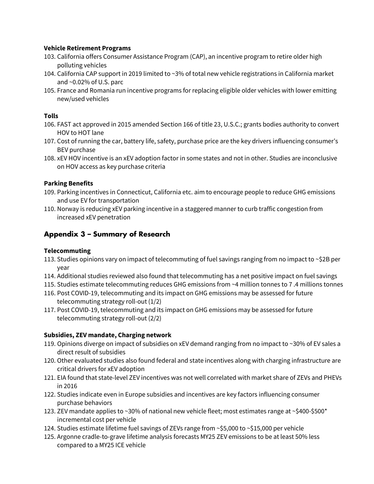#### **Vehicle Retirement Programs**

- 103. California offers Consumer Assistance Program (CAP), an incentive program to retire older high polluting vehicles
- 104. California CAP support in 2019 limited to ~3% of total new vehicle registrations in California market and ~0.02% of U.S. parc
- 105. France and Romania run incentive programs for replacing eligible older vehicles with lower emitting new/used vehicles

#### **Tolls**

- 106. FAST act approved in 2015 amended Section 166 of title 23, U.S.C.; grants bodies authority to convert HOV to HOT lane
- 107. Cost of running the car, battery life, safety, purchase price are the key drivers influencing consumer's BEV purchase
- 108. xEV HOV incentive is an xEV adoption factor in some states and not in other. Studies are inconclusive on HOV access as key purchase criteria

#### **Parking Benefits**

- 109. Parking incentives in Connecticut, California etc. aim to encourage people to reduce GHG emissions and use EV for transportation
- 110. Norway is reducing xEV parking incentive in a staggered manner to curb traffic congestion from increased xEV penetration

### **Appendix 3 – Summary of Research**

#### **Telecommuting**

- 113. Studies opinions vary on impact of telecommuting of fuel savings ranging from no impact to ~\$2B per year
- 114. Additional studies reviewed also found that telecommuting has a net positive impact on fuel savings
- 115. Studies estimate telecommuting reduces GHG emissions from ~4 million tonnes to 7 .4 millions tonnes
- 116. Post COVID-19, telecommuting and its impact on GHG emissions may be assessed for future telecommuting strategy roll-out (1/2)
- 117. Post COVID-19, telecommuting and its impact on GHG emissions may be assessed for future telecommuting strategy roll-out (2/2)

#### **Subsidies, ZEV mandate, Charging network**

- 119. Opinions diverge on impact of subsidies on xEV demand ranging from no impact to ~30% of EV sales a direct result of subsidies
- 120. Other evaluated studies also found federal and state incentives along with charging infrastructure are critical drivers for xEV adoption
- 121. EIA found that state-level ZEV incentives was not well correlated with market share of ZEVs and PHEVs in 2016
- 122. Studies indicate even in Europe subsidies and incentives are key factors influencing consumer purchase behaviors
- 123. ZEV mandate applies to ~30% of national new vehicle fleet; most estimates range at ~\$400-\$500\* incremental cost per vehicle
- 124. Studies estimate lifetime fuel savings of ZEVs range from ~\$5,000 to ~\$15,000 per vehicle
- 125. Argonne cradle-to-grave lifetime analysis forecasts MY25 ZEV emissions to be at least 50% less compared to a MY25 ICE vehicle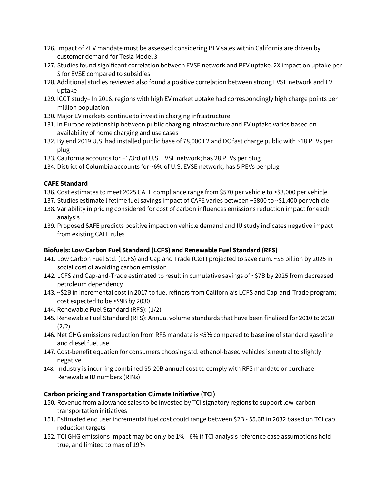- 126. Impact of ZEV mandate must be assessed considering BEV sales within California are driven by customer demand for Tesla Model 3
- 127. Studies found significant correlation between EVSE network and PEV uptake. 2X impact on uptake per \$ for EVSE compared to subsidies
- 128. Additional studies reviewed also found a positive correlation between strong EVSE network and EV uptake
- 129. ICCT study– In 2016, regions with high EV market uptake had correspondingly high charge points per million population
- 130. Major EV markets continue to invest in charging infrastructure
- 131. In Europe relationship between public charging infrastructure and EV uptake varies based on availability of home charging and use cases
- 132. By end 2019 U.S. had installed public base of 78,000 L2 and DC fast charge public with ~18 PEVs per plug
- 133. California accounts for ~1/3rd of U.S. EVSE network; has 28 PEVs per plug
- 134. District of Columbia accounts for ~6% of U.S. EVSE network; has 5 PEVs per plug

#### **CAFE Standard**

- 136. Cost estimates to meet 2025 CAFE compliance range from \$570 per vehicle to >\$3,000 per vehicle
- 137. Studies estimate lifetime fuel savings impact of CAFE varies between ~\$800 to ~\$1,400 per vehicle
- 138. Variability in pricing considered for cost of carbon influences emissions reduction impact for each analysis
- 139. Proposed SAFE predicts positive impact on vehicle demand and IU study indicates negative impact from existing CAFE rules

#### **Biofuels: Low Carbon Fuel Standard (LCFS) and Renewable Fuel Standard (RFS)**

- 141. Low Carbon Fuel Std. (LCFS) and Cap and Trade (C&T) projected to save cum. ~\$8 billion by 2025 in social cost of avoiding carbon emission
- 142. LCFS and Cap-and-Trade estimated to result in cumulative savings of ~\$7B by 2025 from decreased petroleum dependency
- 143. ~\$2B in incremental cost in 2017 to fuel refiners from California's LCFS and Cap-and-Trade program; cost expected to be >\$9B by 2030
- 144. Renewable Fuel Standard (RFS): (1/2)
- 145. Renewable Fuel Standard (RFS): Annual volume standards that have been finalized for 2010 to 2020 (2/2)
- 146. Net GHG emissions reduction from RFS mandate is <5% compared to baseline of standard gasoline and diesel fuel use
- 147. Cost-benefit equation for consumers choosing std. ethanol-based vehicles is neutral to slightly negative
- 148. Industry is incurring combined \$5-20B annual cost to comply with RFS mandate or purchase Renewable ID numbers (RINs)

#### **Carbon pricing and Transportation Climate Initiative (TCI)**

- 150. Revenue from allowance sales to be invested by TCI signatory regions to support low-carbon transportation initiatives
- 151. Estimated end user incremental fuel cost could range between \$2B \$5.6B in 2032 based on TCI cap reduction targets
- 152. TCI GHG emissions impact may be only be 1% 6% if TCI analysis reference case assumptions hold true, and limited to max of 19%